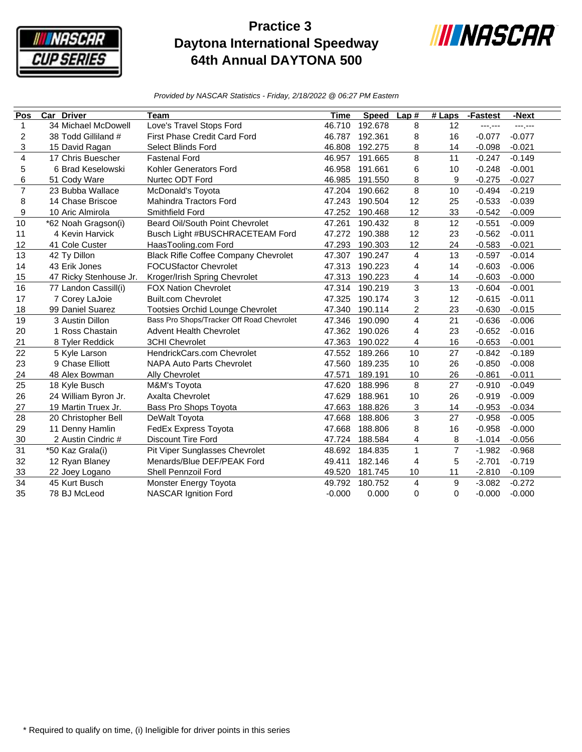

## **Practice 3 Daytona International Speedway 64th Annual DAYTONA 500**



*Provided by NASCAR Statistics - Friday, 2/18/2022 @ 06:27 PM Eastern*

| Pos             | <b>Car Driver</b>      | Team                                        | <b>Time</b> | <b>Speed</b> | Lap#           | $#$ Laps       | -Fastest | -Next           |
|-----------------|------------------------|---------------------------------------------|-------------|--------------|----------------|----------------|----------|-----------------|
| $\mathbf{1}$    | 34 Michael McDowell    | Love's Travel Stops Ford                    | 46.710      | 192.678      | 8              | 12             | ------   | <b>---</b> ,--- |
| 2               | 38 Todd Gilliland #    | <b>First Phase Credit Card Ford</b>         | 46.787      | 192.361      | 8              | 16             | $-0.077$ | $-0.077$        |
| 3               | 15 David Ragan         | <b>Select Blinds Ford</b>                   | 46.808      | 192.275      | 8              | 14             | $-0.098$ | $-0.021$        |
| $\overline{4}$  | 17 Chris Buescher      | <b>Fastenal Ford</b>                        | 46.957      | 191.665      | 8              | 11             | $-0.247$ | $-0.149$        |
| 5               | 6 Brad Keselowski      | Kohler Generators Ford                      | 46.958      | 191.661      | 6              | 10             | $-0.248$ | $-0.001$        |
| 6               | 51 Cody Ware           | Nurtec ODT Ford                             | 46.985      | 191.550      | 8              | 9              | $-0.275$ | $-0.027$        |
| $\overline{7}$  | 23 Bubba Wallace       | McDonald's Toyota                           | 47.204      | 190.662      | 8              | 10             | $-0.494$ | $-0.219$        |
| 8               | 14 Chase Briscoe       | <b>Mahindra Tractors Ford</b>               | 47.243      | 190.504      | 12             | 25             | $-0.533$ | $-0.039$        |
| 9               | 10 Aric Almirola       | Smithfield Ford                             | 47.252      | 190.468      | 12             | 33             | $-0.542$ | $-0.009$        |
| 10              | *62 Noah Gragson(i)    | Beard Oil/South Point Chevrolet             | 47.261      | 190.432      | 8              | 12             | $-0.551$ | $-0.009$        |
| 11              | 4 Kevin Harvick        | Busch Light #BUSCHRACETEAM Ford             | 47.272      | 190.388      | 12             | 23             | $-0.562$ | $-0.011$        |
| 12              | 41 Cole Custer         | HaasTooling.com Ford                        | 47.293      | 190.303      | 12             | 24             | $-0.583$ | $-0.021$        |
| 13              | 42 Ty Dillon           | <b>Black Rifle Coffee Company Chevrolet</b> | 47.307      | 190.247      | $\overline{4}$ | 13             | $-0.597$ | $-0.014$        |
| 14              | 43 Erik Jones          | <b>FOCUSfactor Chevrolet</b>                | 47.313      | 190.223      | 4              | 14             | $-0.603$ | $-0.006$        |
| 15              | 47 Ricky Stenhouse Jr. | Kroger/Irish Spring Chevrolet               | 47.313      | 190.223      | 4              | 14             | $-0.603$ | $-0.000$        |
| 16              | 77 Landon Cassill(i)   | <b>FOX Nation Chevrolet</b>                 | 47.314      | 190.219      | 3              | 13             | $-0.604$ | $-0.001$        |
| 17              | 7 Corey LaJoie         | <b>Built.com Chevrolet</b>                  | 47.325      | 190.174      | 3              | 12             | $-0.615$ | $-0.011$        |
| 18              | 99 Daniel Suarez       | <b>Tootsies Orchid Lounge Chevrolet</b>     | 47.340      | 190.114      | $\overline{c}$ | 23             | $-0.630$ | $-0.015$        |
| 19              | 3 Austin Dillon        | Bass Pro Shops/Tracker Off Road Chevrolet   | 47.346      | 190.090      | 4              | 21             | $-0.636$ | $-0.006$        |
| 20              | 1 Ross Chastain        | <b>Advent Health Chevrolet</b>              | 47.362      | 190.026      | $\overline{4}$ | 23             | $-0.652$ | $-0.016$        |
| 21              | 8 Tyler Reddick        | <b>3CHI Chevrolet</b>                       | 47.363      | 190.022      | 4              | 16             | $-0.653$ | $-0.001$        |
| 22              | 5 Kyle Larson          | HendrickCars.com Chevrolet                  | 47.552      | 189.266      | 10             | 27             | $-0.842$ | $-0.189$        |
| 23              | 9 Chase Elliott        | <b>NAPA Auto Parts Chevrolet</b>            | 47.560      | 189.235      | 10             | 26             | $-0.850$ | $-0.008$        |
| 24              | 48 Alex Bowman         | Ally Chevrolet                              | 47.571      | 189.191      | 10             | 26             | $-0.861$ | $-0.011$        |
| $\overline{25}$ | 18 Kyle Busch          | M&M's Toyota                                | 47.620      | 188.996      | 8              | 27             | $-0.910$ | $-0.049$        |
| 26              | 24 William Byron Jr.   | <b>Axalta Chevrolet</b>                     | 47.629      | 188.961      | 10             | 26             | $-0.919$ | $-0.009$        |
| 27              | 19 Martin Truex Jr.    | Bass Pro Shops Toyota                       | 47.663      | 188.826      | 3              | 14             | $-0.953$ | $-0.034$        |
| 28              | 20 Christopher Bell    | DeWalt Toyota                               | 47.668      | 188.806      | 3              | 27             | $-0.958$ | $-0.005$        |
| 29              | 11 Denny Hamlin        | FedEx Express Toyota                        | 47.668      | 188.806      | 8              | 16             | $-0.958$ | $-0.000$        |
| 30              | 2 Austin Cindric #     | <b>Discount Tire Ford</b>                   | 47.724      | 188.584      | $\overline{4}$ | 8              | $-1.014$ | $-0.056$        |
| 31              | *50 Kaz Grala(i)       | Pit Viper Sunglasses Chevrolet              | 48.692      | 184.835      | $\mathbf{1}$   | $\overline{7}$ | $-1.982$ | $-0.968$        |
| 32              | 12 Ryan Blaney         | Menards/Blue DEF/PEAK Ford                  | 49.411      | 182.146      | $\overline{4}$ | 5              | $-2.701$ | $-0.719$        |
| 33              | 22 Joey Logano         | Shell Pennzoil Ford                         | 49.520      | 181.745      | 10             | 11             | $-2.810$ | $-0.109$        |
| 34              | 45 Kurt Busch          | Monster Energy Toyota                       | 49.792      | 180.752      | $\overline{4}$ | 9              | $-3.082$ | $-0.272$        |
| 35              | 78 BJ McLeod           | <b>NASCAR Ignition Ford</b>                 | $-0.000$    | 0.000        | $\Omega$       | $\Omega$       | $-0.000$ | $-0.000$        |